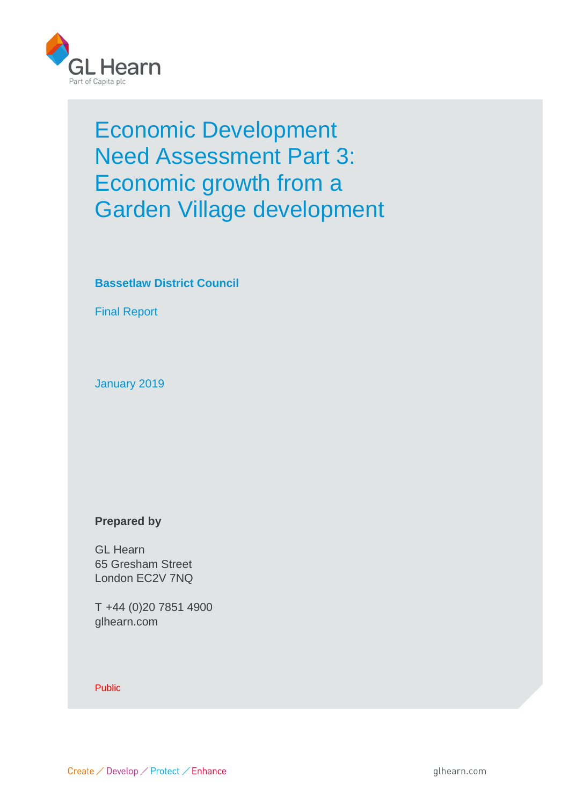

# Economic Development Need Assessment Part 3: Economic growth from a Garden Village development

# **Bassetlaw District Council**

Final Report

January 2019

## **Prepared by**

GL Hearn 65 Gresham Street London EC2V 7NQ

T +44 (0)20 7851 4900 glhearn.com

Public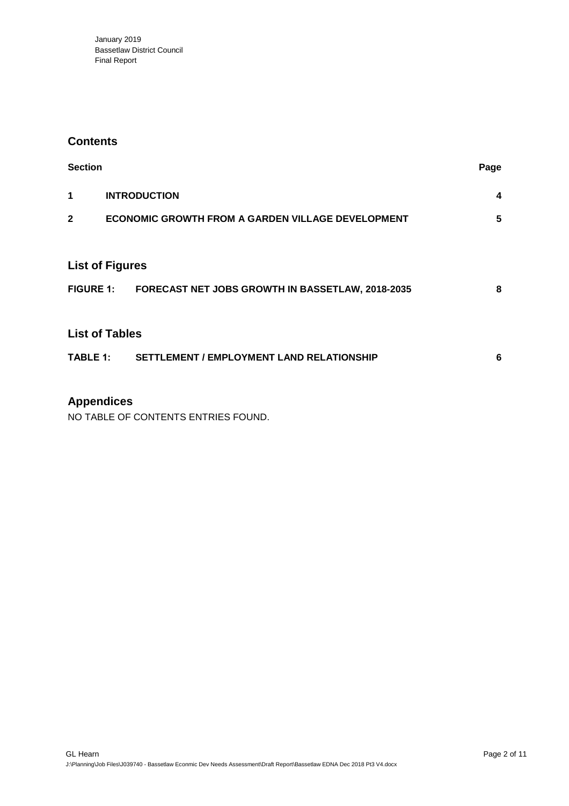January 2019 Bassetlaw District Council Final Report

#### **Contents**

| <b>Section</b>         |                                                            | Page |  |  |  |  |  |
|------------------------|------------------------------------------------------------|------|--|--|--|--|--|
| 1                      | <b>INTRODUCTION</b>                                        |      |  |  |  |  |  |
| $\mathbf{2}$           | <b>ECONOMIC GROWTH FROM A GARDEN VILLAGE DEVELOPMENT</b>   |      |  |  |  |  |  |
|                        |                                                            |      |  |  |  |  |  |
| <b>List of Figures</b> |                                                            |      |  |  |  |  |  |
|                        | FIGURE 1: FORECAST NET JOBS GROWTH IN BASSETLAW, 2018-2035 | 8    |  |  |  |  |  |
|                        |                                                            |      |  |  |  |  |  |
| <b>List of Tables</b>  |                                                            |      |  |  |  |  |  |
|                        | TABLE 1: SETTLEMENT / EMPLOYMENT LAND RELATIONSHIP         | 6    |  |  |  |  |  |
|                        |                                                            |      |  |  |  |  |  |

# **Appendices**

NO TABLE OF CONTENTS ENTRIES FOUND.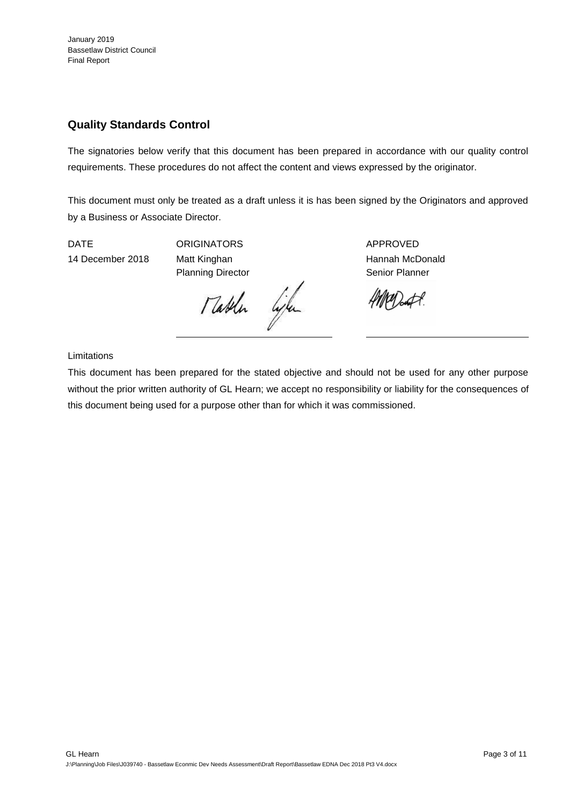# **Quality Standards Control**

The signatories below verify that this document has been prepared in accordance with our quality control requirements. These procedures do not affect the content and views expressed by the originator.

This document must only be treated as a draft unless it is has been signed by the Originators and approved by a Business or Associate Director.

DATE ORIGINATORS APPROVED

14 December 2018 Matt Kinghan Hannah McDonald Planning Director **Senior Planner** Senior Planner

Mathen life

 $\mathscr{U}$  at  $\mathscr{A}$ 

Limitations

This document has been prepared for the stated objective and should not be used for any other purpose without the prior written authority of GL Hearn; we accept no responsibility or liability for the consequences of this document being used for a purpose other than for which it was commissioned.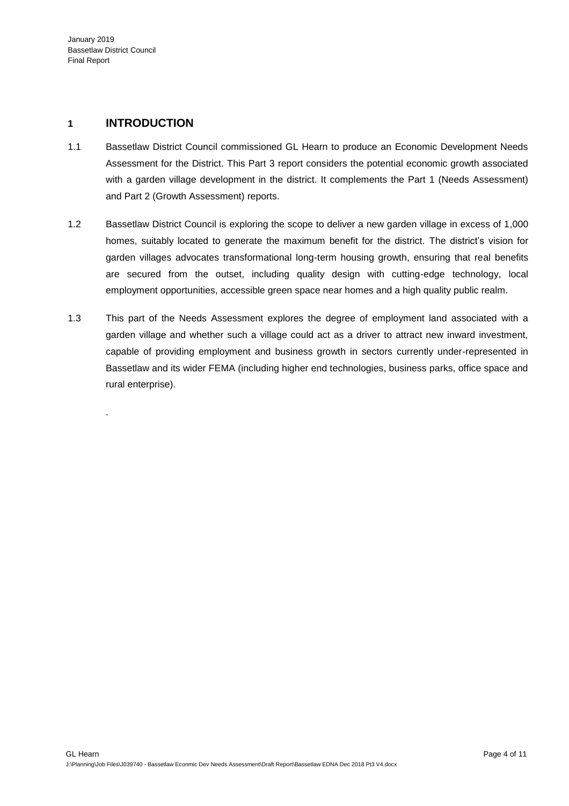.

### **1 INTRODUCTION**

- 1.1 Bassetlaw District Council commissioned GL Hearn to produce an Economic Development Needs Assessment for the District. This Part 3 report considers the potential economic growth associated with a garden village development in the district. It complements the Part 1 (Needs Assessment) and Part 2 (Growth Assessment) reports.
- 1.2 Bassetlaw District Council is exploring the scope to deliver a new garden village in excess of 1,000 homes, suitably located to generate the maximum benefit for the district. The district's vision for garden villages advocates transformational long-term housing growth, ensuring that real benefits are secured from the outset, including quality design with cutting-edge technology, local employment opportunities, accessible green space near homes and a high quality public realm.
- 1.3 This part of the Needs Assessment explores the degree of employment land associated with a garden village and whether such a village could act as a driver to attract new inward investment, capable of providing employment and business growth in sectors currently under-represented in Bassetlaw and its wider FEMA (including higher end technologies, business parks, office space and rural enterprise).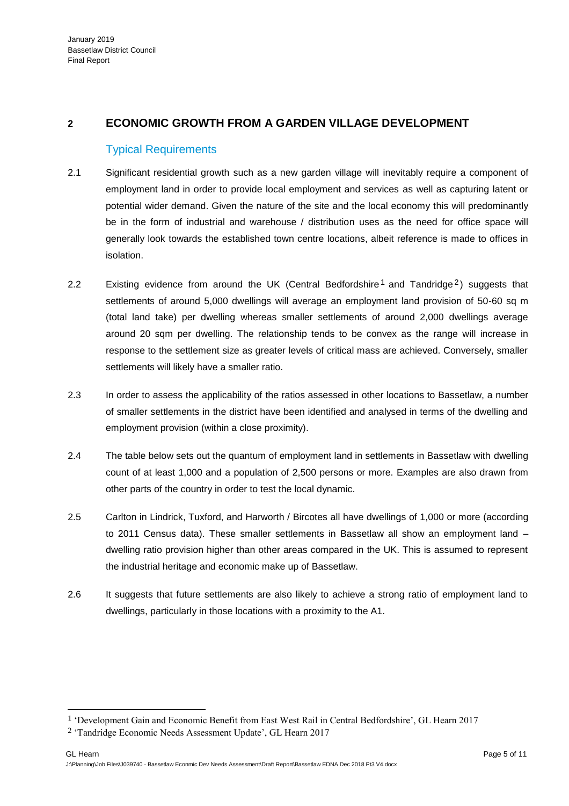### **2 ECONOMIC GROWTH FROM A GARDEN VILLAGE DEVELOPMENT**

#### Typical Requirements

- 2.1 Significant residential growth such as a new garden village will inevitably require a component of employment land in order to provide local employment and services as well as capturing latent or potential wider demand. Given the nature of the site and the local economy this will predominantly be in the form of industrial and warehouse / distribution uses as the need for office space will generally look towards the established town centre locations, albeit reference is made to offices in isolation.
- 2.2 Existing evidence from around the UK (Central Bedfordshire<sup>1</sup> and Tandridge<sup>2</sup>) suggests that settlements of around 5,000 dwellings will average an employment land provision of 50-60 sq m (total land take) per dwelling whereas smaller settlements of around 2,000 dwellings average around 20 sqm per dwelling. The relationship tends to be convex as the range will increase in response to the settlement size as greater levels of critical mass are achieved. Conversely, smaller settlements will likely have a smaller ratio.
- 2.3 In order to assess the applicability of the ratios assessed in other locations to Bassetlaw, a number of smaller settlements in the district have been identified and analysed in terms of the dwelling and employment provision (within a close proximity).
- 2.4 The table below sets out the quantum of employment land in settlements in Bassetlaw with dwelling count of at least 1,000 and a population of 2,500 persons or more. Examples are also drawn from other parts of the country in order to test the local dynamic.
- 2.5 Carlton in Lindrick, Tuxford, and Harworth / Bircotes all have dwellings of 1,000 or more (according to 2011 Census data). These smaller settlements in Bassetlaw all show an employment land – dwelling ratio provision higher than other areas compared in the UK. This is assumed to represent the industrial heritage and economic make up of Bassetlaw.
- 2.6 It suggests that future settlements are also likely to achieve a strong ratio of employment land to dwellings, particularly in those locations with a proximity to the A1.

<span id="page-4-0"></span>l

<sup>1</sup> 'Development Gain and Economic Benefit from East West Rail in Central Bedfordshire', GL Hearn 2017

<sup>2</sup> 'Tandridge Economic Needs Assessment Update', GL Hearn 2017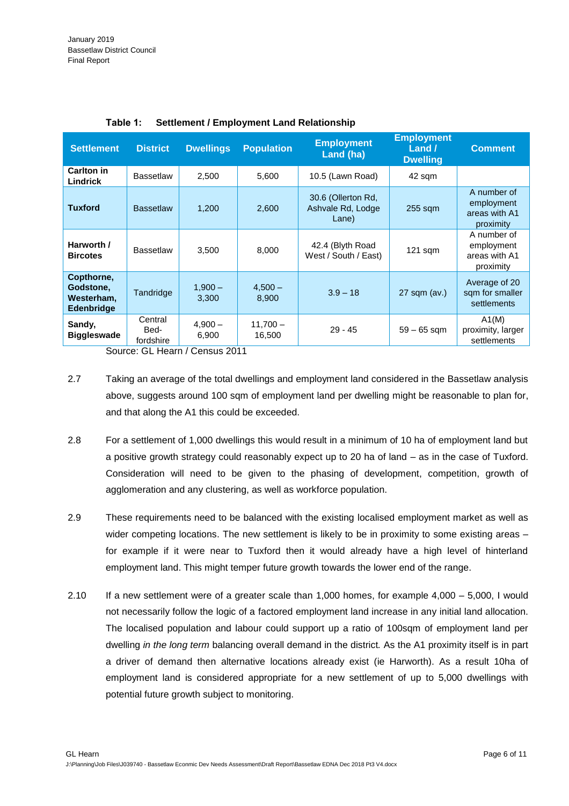| <b>Settlement</b>                                          | <b>District</b>              | <b>Dwellings</b>   | <b>Population</b>    | <b>Employment</b><br>Land (ha)                   | <b>Employment</b><br>Land $\prime$<br><b>Dwelling</b> | <b>Comment</b>                                          |
|------------------------------------------------------------|------------------------------|--------------------|----------------------|--------------------------------------------------|-------------------------------------------------------|---------------------------------------------------------|
| Carlton in<br>Lindrick                                     | <b>Bassetlaw</b>             | 2,500              | 5,600                | 10.5 (Lawn Road)                                 | 42 sqm                                                |                                                         |
| <b>Tuxford</b>                                             | <b>Bassetlaw</b>             | 1,200              | 2,600                | 30.6 (Ollerton Rd,<br>Ashvale Rd, Lodge<br>Lane) | $255$ sqm                                             | A number of<br>employment<br>areas with A1<br>proximity |
| Harworth /<br><b>Bircotes</b>                              | <b>Bassetlaw</b>             | 3,500              | 8,000                | 42.4 (Blyth Road<br>West / South / East)         | $121$ sqm                                             | A number of<br>employment<br>areas with A1<br>proximity |
| Copthorne,<br>Godstone,<br>Westerham,<br><b>Edenbridge</b> | Tandridge                    | $1,900 -$<br>3,300 | $4,500 -$<br>8,900   | $3.9 - 18$                                       | 27 sqm (av.)                                          | Average of 20<br>sqm for smaller<br>settlements         |
| Sandy,<br><b>Biggleswade</b>                               | Central<br>Bed-<br>fordshire | $4,900 -$<br>6,900 | $11,700 -$<br>16,500 | $29 - 45$                                        | $59 - 65$ sqm                                         | A1(M)<br>proximity, larger<br>settlements               |

Source: GL Hearn / Census 2011

- 2.7 Taking an average of the total dwellings and employment land considered in the Bassetlaw analysis above, suggests around 100 sqm of employment land per dwelling might be reasonable to plan for, and that along the A1 this could be exceeded.
- 2.8 For a settlement of 1,000 dwellings this would result in a minimum of 10 ha of employment land but a positive growth strategy could reasonably expect up to 20 ha of land – as in the case of Tuxford. Consideration will need to be given to the phasing of development, competition, growth of agglomeration and any clustering, as well as workforce population.
- 2.9 These requirements need to be balanced with the existing localised employment market as well as wider competing locations. The new settlement is likely to be in proximity to some existing areas – for example if it were near to Tuxford then it would already have a high level of hinterland employment land. This might temper future growth towards the lower end of the range.
- 2.10 If a new settlement were of a greater scale than 1,000 homes, for example 4,000 5,000, I would not necessarily follow the logic of a factored employment land increase in any initial land allocation. The localised population and labour could support up a ratio of 100sqm of employment land per dwelling *in the long term* balancing overall demand in the district*.* As the A1 proximity itself is in part a driver of demand then alternative locations already exist (ie Harworth). As a result 10ha of employment land is considered appropriate for a new settlement of up to 5,000 dwellings with potential future growth subject to monitoring.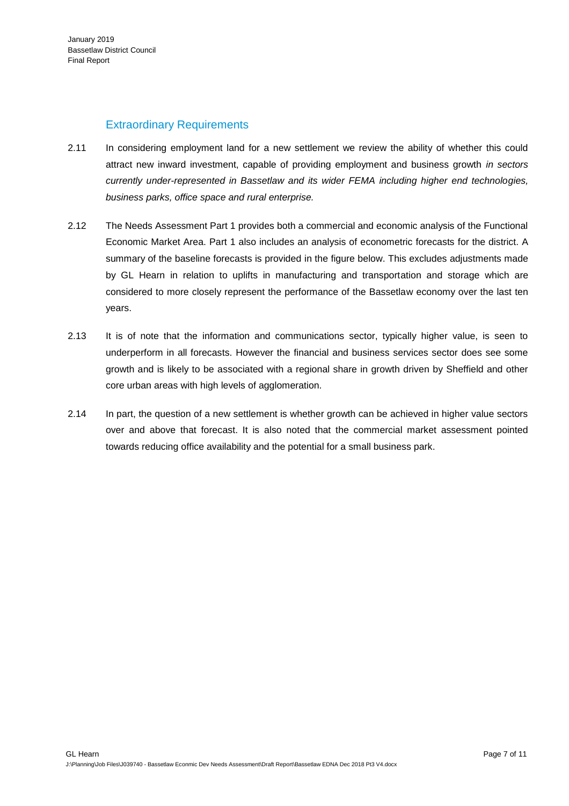### Extraordinary Requirements

- 2.11 In considering employment land for a new settlement we review the ability of whether this could attract new inward investment, capable of providing employment and business growth *in sectors currently under-represented in Bassetlaw and its wider FEMA including higher end technologies, business parks, office space and rural enterprise.*
- 2.12 The Needs Assessment Part 1 provides both a commercial and economic analysis of the Functional Economic Market Area. Part 1 also includes an analysis of econometric forecasts for the district. A summary of the baseline forecasts is provided in the figure below. This excludes adjustments made by GL Hearn in relation to uplifts in manufacturing and transportation and storage which are considered to more closely represent the performance of the Bassetlaw economy over the last ten years.
- 2.13 It is of note that the information and communications sector, typically higher value, is seen to underperform in all forecasts. However the financial and business services sector does see some growth and is likely to be associated with a regional share in growth driven by Sheffield and other core urban areas with high levels of agglomeration.
- 2.14 In part, the question of a new settlement is whether growth can be achieved in higher value sectors over and above that forecast. It is also noted that the commercial market assessment pointed towards reducing office availability and the potential for a small business park.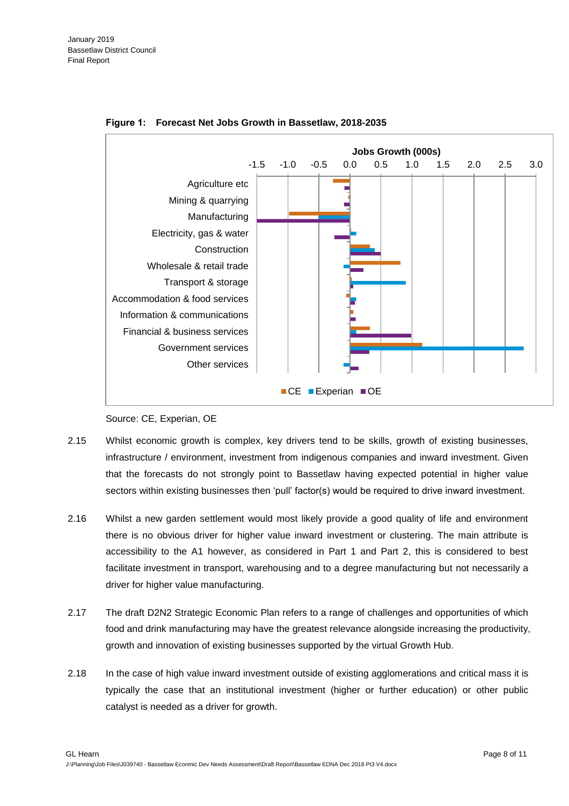<span id="page-7-0"></span>

**Figure 1: Forecast Net Jobs Growth in Bassetlaw, 2018-2035**



- 2.15 Whilst economic growth is complex, key drivers tend to be skills, growth of existing businesses, infrastructure / environment, investment from indigenous companies and inward investment. Given that the forecasts do not strongly point to Bassetlaw having expected potential in higher value sectors within existing businesses then 'pull' factor(s) would be required to drive inward investment.
- 2.16 Whilst a new garden settlement would most likely provide a good quality of life and environment there is no obvious driver for higher value inward investment or clustering. The main attribute is accessibility to the A1 however, as considered in Part 1 and Part 2, this is considered to best facilitate investment in transport, warehousing and to a degree manufacturing but not necessarily a driver for higher value manufacturing.
- 2.17 The draft D2N2 Strategic Economic Plan refers to a range of challenges and opportunities of which food and drink manufacturing may have the greatest relevance alongside increasing the productivity, growth and innovation of existing businesses supported by the virtual Growth Hub.
- 2.18 In the case of high value inward investment outside of existing agglomerations and critical mass it is typically the case that an institutional investment (higher or further education) or other public catalyst is needed as a driver for growth.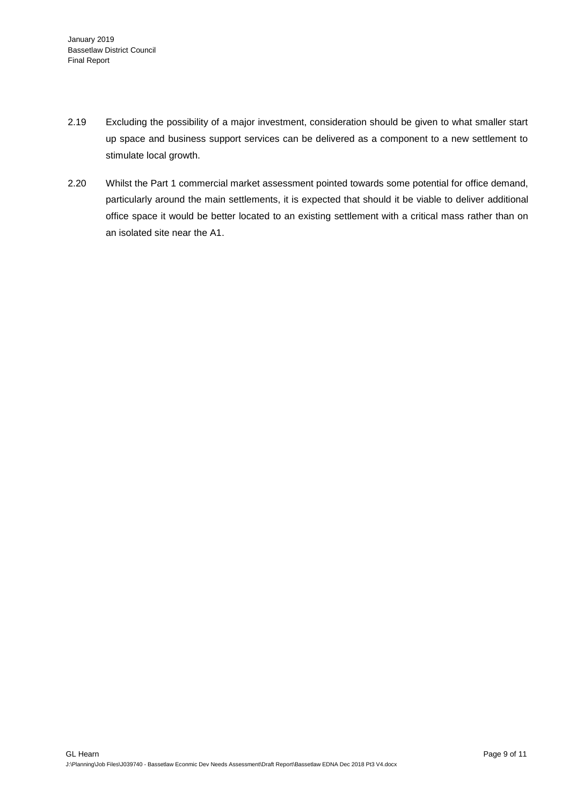- 2.19 Excluding the possibility of a major investment, consideration should be given to what smaller start up space and business support services can be delivered as a component to a new settlement to stimulate local growth.
- 2.20 Whilst the Part 1 commercial market assessment pointed towards some potential for office demand, particularly around the main settlements, it is expected that should it be viable to deliver additional office space it would be better located to an existing settlement with a critical mass rather than on an isolated site near the A1.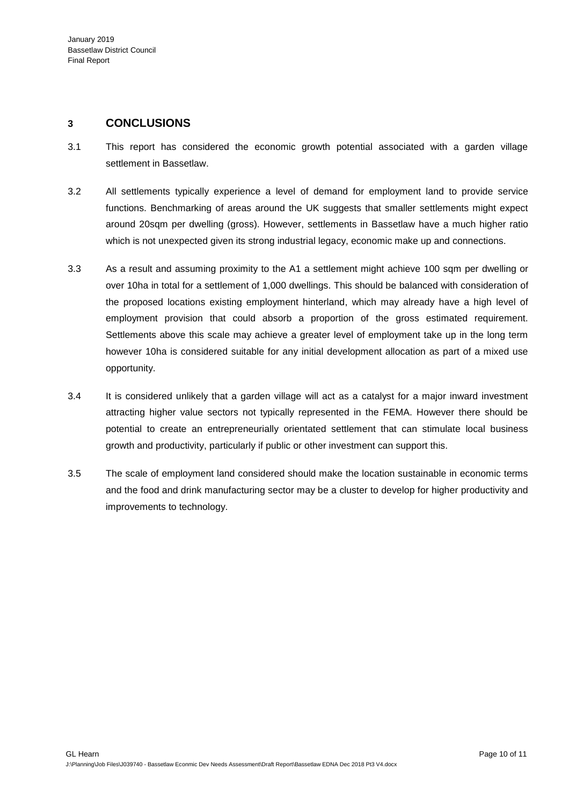### **3 CONCLUSIONS**

- 3.1 This report has considered the economic growth potential associated with a garden village settlement in Bassetlaw.
- 3.2 All settlements typically experience a level of demand for employment land to provide service functions. Benchmarking of areas around the UK suggests that smaller settlements might expect around 20sqm per dwelling (gross). However, settlements in Bassetlaw have a much higher ratio which is not unexpected given its strong industrial legacy, economic make up and connections.
- 3.3 As a result and assuming proximity to the A1 a settlement might achieve 100 sqm per dwelling or over 10ha in total for a settlement of 1,000 dwellings. This should be balanced with consideration of the proposed locations existing employment hinterland, which may already have a high level of employment provision that could absorb a proportion of the gross estimated requirement. Settlements above this scale may achieve a greater level of employment take up in the long term however 10ha is considered suitable for any initial development allocation as part of a mixed use opportunity.
- 3.4 It is considered unlikely that a garden village will act as a catalyst for a major inward investment attracting higher value sectors not typically represented in the FEMA. However there should be potential to create an entrepreneurially orientated settlement that can stimulate local business growth and productivity, particularly if public or other investment can support this.
- 3.5 The scale of employment land considered should make the location sustainable in economic terms and the food and drink manufacturing sector may be a cluster to develop for higher productivity and improvements to technology.